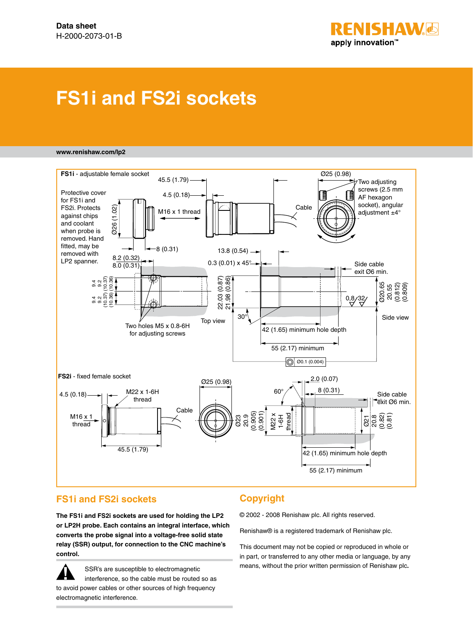

## **FS1i and FS2i sockets**

#### **www.renishaw.com/lp2**



#### **FS1i and FS2i sockets**

**The FS1i and FS2i sockets are used for holding the LP2 or LP2H probe. Each contains an integral interface, which converts the probe signal into a voltage-free solid state relay (SSR) output, for connection to the CNC machine's control.**

SSR's are susceptible to electromagnetic interference, so the cable must be routed so as to avoid power cables or other sources of high frequency electromagnetic interference. **!**

#### **Copyright**

© 2002 - 2008 Renishaw plc. All rights reserved.

Renishaw® is a registered trademark of Renishaw plc.

This document may not be copied or reproduced in whole or in part, or transferred to any other media or language, by any means, without the prior written permission of Renishaw plc**.**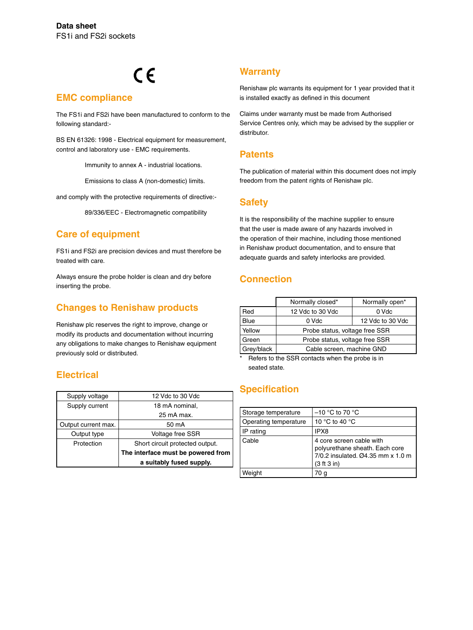# $C \in$

#### **EMC compliance**

The FS1i and FS2i have been manufactured to conform to the following standard:-

BS EN 61326: 1998 - Electrical equipment for measurement, control and laboratory use - EMC requirements.

Immunity to annex A - industrial locations.

Emissions to class A (non-domestic) limits.

and comply with the protective requirements of directive:-

89/336/EEC - Electromagnetic compatibility

#### **Care of equipment**

FS1i and FS2i are precision devices and must therefore be treated with care.

Always ensure the probe holder is clean and dry before inserting the probe.

### **Changes to Renishaw products**

Renishaw plc reserves the right to improve, change or modify its products and documentation without incurring any obligations to make changes to Renishaw equipment previously sold or distributed.

#### **Electrical**

| Supply voltage      | 12 Vdc to 30 Vdc                   |
|---------------------|------------------------------------|
| Supply current      | 18 mA nominal,                     |
|                     | 25 mA max.                         |
| Output current max. | 50 mA                              |
| Output type         | <b>Voltage free SSR</b>            |
| Protection          | Short circuit protected output.    |
|                     | The interface must be powered from |
|                     | a suitably fused supply.           |

#### **Warranty**

Renishaw plc warrants its equipment for 1 year provided that it is installed exactly as defined in this document

Claims under warranty must be made from Authorised Service Centres only, which may be advised by the supplier or distributor.

#### **Patents**

The publication of material within this document does not imply freedom from the patent rights of Renishaw plc.

#### **Safety**

It is the responsibility of the machine supplier to ensure that the user is made aware of any hazards involved in the operation of their machine, including those mentioned in Renishaw product documentation, and to ensure that adequate guards and safety interlocks are provided.

#### **Connection**

|            | Normally closed*               | Normally open*   |  |
|------------|--------------------------------|------------------|--|
| Red        | 12 Vdc to 30 Vdc               | 0 Vdc            |  |
| Blue       | 0 Vdc                          | 12 Vdc to 30 Vdc |  |
| Yellow     | Probe status, voltage free SSR |                  |  |
| Green      | Probe status, voltage free SSR |                  |  |
| Grey/black | Cable screen, machine GND      |                  |  |

Refers to the SSR contacts when the probe is in seated state.

#### **Specification**

| Storage temperature   | $-10$ °C to 70 °C                                                                                              |
|-----------------------|----------------------------------------------------------------------------------------------------------------|
| Operating temperature | 10 °C to 40 °C                                                                                                 |
| IP rating             | IPX8                                                                                                           |
| Cable                 | 4 core screen cable with<br>polyurethane sheath. Each core<br>7/0.2 insulated, Ø4.35 mm x 1.0 m<br>(3 ft 3 in) |
| Weiaht                | 70 a                                                                                                           |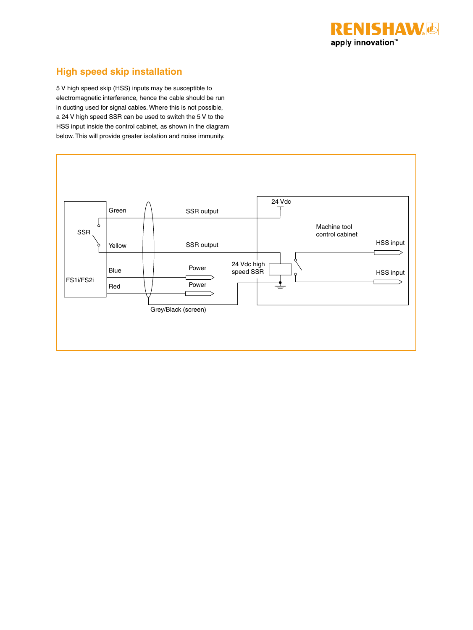

#### **High speed skip installation**

5 V high speed skip (HSS) inputs may be susceptible to electromagnetic interference, hence the cable should be run in ducting used for signal cables. Where this is not possible, a 24 V high speed SSR can be used to switch the 5 V to the HSS input inside the control cabinet, as shown in the diagram below. This will provide greater isolation and noise immunity.